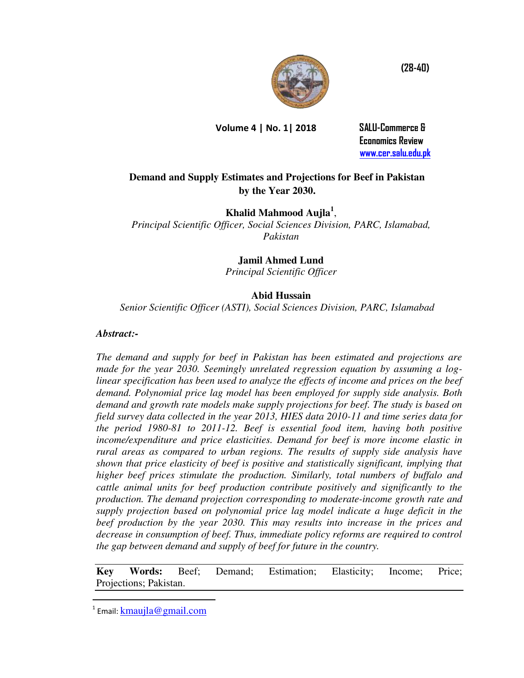

**Volume 4 | No. 1| 2018 SALU-Commerce &** 

 **Economics Review [www.cer.salu.edu.pk](http://www.cer.salu.edu.pk/)** 

# **Demand and Supply Estimates and Projections for Beef in Pakistan by the Year 2030.**

**Khalid Mahmood Aujla<sup>1</sup>** ,

*Principal Scientific Officer, Social Sciences Division, PARC, Islamabad, Pakistan* 

# **Jamil Ahmed Lund**

*Principal Scientific Officer* 

# **Abid Hussain**

*Senior Scientific Officer (ASTI), Social Sciences Division, PARC, Islamabad*

# *Abstract:-*

*The demand and supply for beef in Pakistan has been estimated and projections are made for the year 2030. Seemingly unrelated regression equation by assuming a loglinear specification has been used to analyze the effects of income and prices on the beef demand. Polynomial price lag model has been employed for supply side analysis. Both demand and growth rate models make supply projections for beef. The study is based on field survey data collected in the year 2013, HIES data 2010-11 and time series data for the period 1980-81 to 2011-12. Beef is essential food item, having both positive income/expenditure and price elasticities. Demand for beef is more income elastic in rural areas as compared to urban regions. The results of supply side analysis have shown that price elasticity of beef is positive and statistically significant, implying that higher beef prices stimulate the production. Similarly, total numbers of buffalo and cattle animal units for beef production contribute positively and significantly to the production. The demand projection corresponding to moderate-income growth rate and supply projection based on polynomial price lag model indicate a huge deficit in the beef production by the year 2030. This may results into increase in the prices and decrease in consumption of beef. Thus, immediate policy reforms are required to control the gap between demand and supply of beef for future in the country.* 

**Key Words:** Beef; Demand; Estimation; Elasticity; Income; Price; Projections; Pakistan.

<sup>1</sup> Email: **kmaujla@gmail.com** 

 $\overline{a}$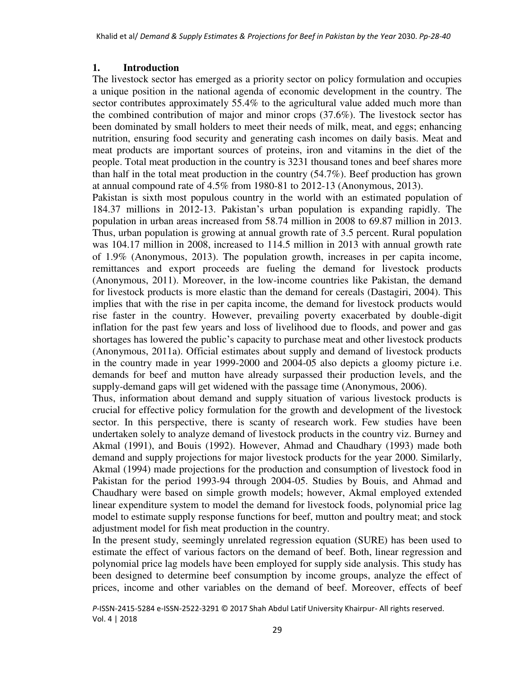### **1. Introduction**

The livestock sector has emerged as a priority sector on policy formulation and occupies a unique position in the national agenda of economic development in the country. The sector contributes approximately 55.4% to the agricultural value added much more than the combined contribution of major and minor crops (37.6%). The livestock sector has been dominated by small holders to meet their needs of milk, meat, and eggs; enhancing nutrition, ensuring food security and generating cash incomes on daily basis. Meat and meat products are important sources of proteins, iron and vitamins in the diet of the people. Total meat production in the country is 3231 thousand tones and beef shares more than half in the total meat production in the country (54.7%). Beef production has grown at annual compound rate of 4.5% from 1980-81 to 2012-13 (Anonymous, 2013).

Pakistan is sixth most populous country in the world with an estimated population of 184.37 millions in 2012-13. Pakistan's urban population is expanding rapidly. The population in urban areas increased from 58.74 million in 2008 to 69.87 million in 2013. Thus, urban population is growing at annual growth rate of 3.5 percent. Rural population was 104.17 million in 2008, increased to 114.5 million in 2013 with annual growth rate of 1.9% (Anonymous, 2013). The population growth, increases in per capita income, remittances and export proceeds are fueling the demand for livestock products (Anonymous, 2011). Moreover, in the low-income countries like Pakistan, the demand for livestock products is more elastic than the demand for cereals (Dastagiri, 2004). This implies that with the rise in per capita income, the demand for livestock products would rise faster in the country. However, prevailing poverty exacerbated by double-digit inflation for the past few years and loss of livelihood due to floods, and power and gas shortages has lowered the public's capacity to purchase meat and other livestock products (Anonymous, 2011a). Official estimates about supply and demand of livestock products in the country made in year 1999-2000 and 2004-05 also depicts a gloomy picture i.e. demands for beef and mutton have already surpassed their production levels, and the supply-demand gaps will get widened with the passage time (Anonymous, 2006).

Thus, information about demand and supply situation of various livestock products is crucial for effective policy formulation for the growth and development of the livestock sector. In this perspective, there is scanty of research work. Few studies have been undertaken solely to analyze demand of livestock products in the country viz. Burney and Akmal (1991), and Bouis (1992). However, Ahmad and Chaudhary (1993) made both demand and supply projections for major livestock products for the year 2000. Similarly, Akmal (1994) made projections for the production and consumption of livestock food in Pakistan for the period 1993-94 through 2004-05. Studies by Bouis, and Ahmad and Chaudhary were based on simple growth models; however, Akmal employed extended linear expenditure system to model the demand for livestock foods, polynomial price lag model to estimate supply response functions for beef, mutton and poultry meat; and stock adjustment model for fish meat production in the country.

In the present study, seemingly unrelated regression equation (SURE) has been used to estimate the effect of various factors on the demand of beef. Both, linear regression and polynomial price lag models have been employed for supply side analysis. This study has been designed to determine beef consumption by income groups, analyze the effect of prices, income and other variables on the demand of beef. Moreover, effects of beef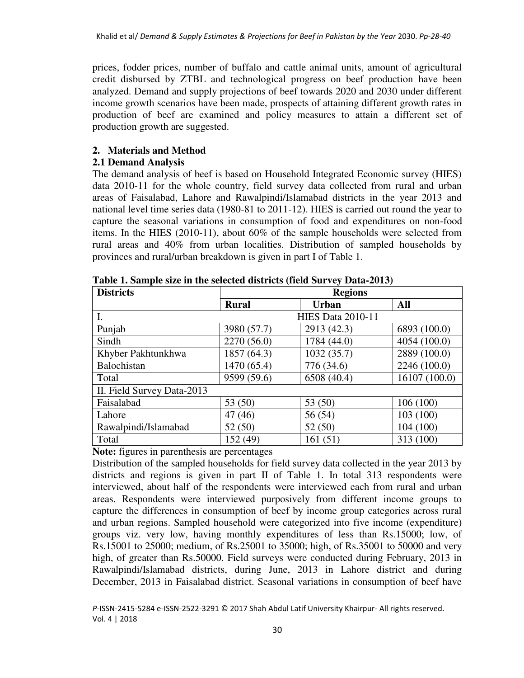prices, fodder prices, number of buffalo and cattle animal units, amount of agricultural credit disbursed by ZTBL and technological progress on beef production have been analyzed. Demand and supply projections of beef towards 2020 and 2030 under different income growth scenarios have been made, prospects of attaining different growth rates in production of beef are examined and policy measures to attain a different set of production growth are suggested.

### **2. Materials and Method**

### **2.1 Demand Analysis**

The demand analysis of beef is based on Household Integrated Economic survey (HIES) data 2010-11 for the whole country, field survey data collected from rural and urban areas of Faisalabad, Lahore and Rawalpindi/Islamabad districts in the year 2013 and national level time series data (1980-81 to 2011-12). HIES is carried out round the year to capture the seasonal variations in consumption of food and expenditures on non-food items. In the HIES (2010-11), about 60% of the sample households were selected from rural areas and 40% from urban localities. Distribution of sampled households by provinces and rural/urban breakdown is given in part I of Table 1.

| <b>Districts</b>           | <b>Regions</b>           |              |               |  |  |  |
|----------------------------|--------------------------|--------------|---------------|--|--|--|
|                            | <b>Rural</b>             | <b>Urban</b> | All           |  |  |  |
|                            | <b>HIES Data 2010-11</b> |              |               |  |  |  |
| Punjab                     | 3980 (57.7)              | 2913 (42.3)  | 6893 (100.0)  |  |  |  |
| Sindh                      | 2270 (56.0)              | 1784 (44.0)  | 4054 (100.0)  |  |  |  |
| Khyber Pakhtunkhwa         | 1857 (64.3)              | 1032(35.7)   | 2889 (100.0)  |  |  |  |
| Balochistan                | 1470 (65.4)              | 776 (34.6)   | 2246 (100.0)  |  |  |  |
| Total                      | 9599 (59.6)              | 6508 (40.4)  | 16107 (100.0) |  |  |  |
| II. Field Survey Data-2013 |                          |              |               |  |  |  |
| Faisalabad                 | 53 (50)                  | 53 $(50)$    | 106(100)      |  |  |  |
| Lahore                     | 47 (46)                  | 56 (54)      | 103(100)      |  |  |  |
| Rawalpindi/Islamabad       | 52(50)                   | 52(50)       | 104(100)      |  |  |  |
| Total                      | 152 (49)                 | 161(51)      | 313 (100)     |  |  |  |

**Table 1. Sample size in the selected districts (field Survey Data-2013)** 

**Note:** figures in parenthesis are percentages

Distribution of the sampled households for field survey data collected in the year 2013 by districts and regions is given in part II of Table 1. In total 313 respondents were interviewed, about half of the respondents were interviewed each from rural and urban areas. Respondents were interviewed purposively from different income groups to capture the differences in consumption of beef by income group categories across rural and urban regions. Sampled household were categorized into five income (expenditure) groups viz. very low, having monthly expenditures of less than Rs.15000; low, of Rs.15001 to 25000; medium, of Rs.25001 to 35000; high, of Rs.35001 to 50000 and very high, of greater than Rs.50000. Field surveys were conducted during February, 2013 in Rawalpindi/Islamabad districts, during June, 2013 in Lahore district and during December, 2013 in Faisalabad district. Seasonal variations in consumption of beef have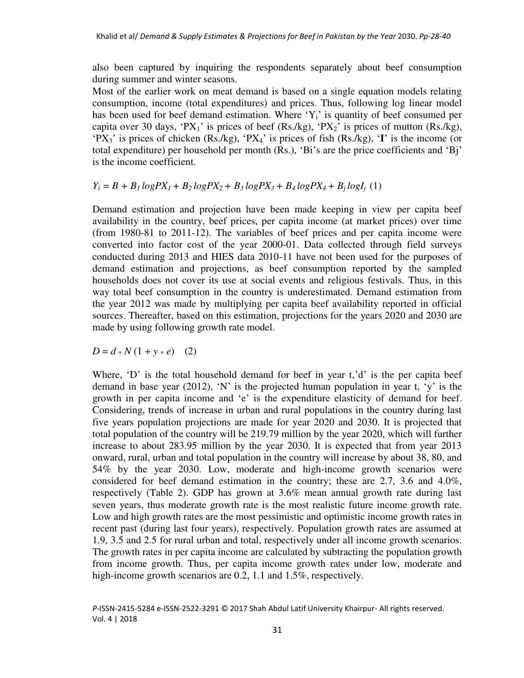also been captured by inquiring the respondents separately about beef consumption during summer and winter seasons.

Most of the earlier work on meat demand is based on a single equation models relating consumption, income (total expenditures) and prices. Thus, following log linear model has been used for beef demand estimation. Where 'Y<sub>i</sub>' is quantity of beef consumed per capita over 30 days, 'PX<sub>1</sub>' is prices of beef (Rs./kg), 'PX<sub>2</sub>' is prices of mutton (Rs./kg), 'PX3' is prices of chicken (Rs./kg), 'PX4' is prices of fish (Rs./kg), '**I**' is the income (or total expenditure) per household per month (Rs.), 'Bi's are the price coefficients and 'Bj' is the income coefficient.

 $Y_i = B + B_1 logPX_1 + B_2 logPX_2 + B_3 logPX_3 + B_4 logPX_4 + B_j logI_j (1)$ 

Demand estimation and projection have been made keeping in view per capita beef availability in the country, beef prices, per capita income (at market prices) over time (from 1980-81 to 2011-12). The variables of beef prices and per capita income were converted into factor cost of the year 2000-01. Data collected through field surveys conducted during 2013 and HIES data 2010-11 have not been used for the purposes of demand estimation and projections, as beef consumption reported by the sampled households does not cover its use at social events and religious festivals. Thus, in this way total beef consumption in the country is underestimated. Demand estimation from the year 2012 was made by multiplying per capita beef availability reported in official sources. Thereafter, based on this estimation, projections for the years 2020 and 2030 are made by using following growth rate model.

 $D = d * N (1 + y * e)$  (2)

Where, 'D' is the total household demand for beef in year t,'d' is the per capita beef demand in base year (2012),  $\mathbf{W}$  is the projected human population in year t,  $\mathbf{v}$  is the growth in per capita income and 'e' is the expenditure elasticity of demand for beef. Considering, trends of increase in urban and rural populations in the country during last five years population projections are made for year 2020 and 2030. It is projected that total population of the country will be 219.79 million by the year 2020, which will further increase to about 283.95 million by the year 2030. It is expected that from year 2013 onward, rural, urban and total population in the country will increase by about 38, 80, and 54% by the year 2030. Low, moderate and high-income growth scenarios were considered for beef demand estimation in the country; these are 2.7, 3.6 and 4.0%, respectively (Table 2). GDP has grown at 3.6% mean annual growth rate during last seven years, thus moderate growth rate is the most realistic future income growth rate. Low and high growth rates are the most pessimistic and optimistic income growth rates in recent past (during last four years), respectively. Population growth rates are assumed at 1.9, 3.5 and 2.5 for rural urban and total, respectively under all income growth scenarios. The growth rates in per capita income are calculated by subtracting the population growth from income growth. Thus, per capita income growth rates under low, moderate and high-income growth scenarios are 0.2, 1.1 and 1.5%, respectively.

*P*-ISSN-2415-5284 e-ISSN-2522-3291 © 2017 Shah Abdul Latif University Khairpur- All rights reserved. Vol. 4 | 2018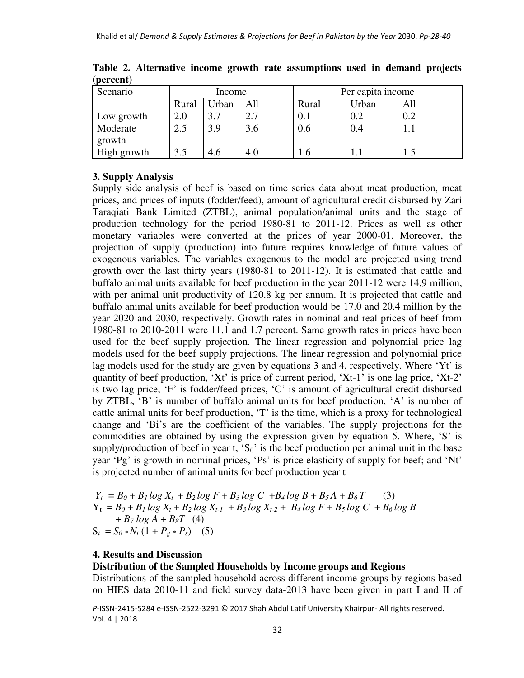| Scenario    | Income |       |     | Per capita income |       |     |
|-------------|--------|-------|-----|-------------------|-------|-----|
|             | Rural  | Urban | All | Rural             | Urban | All |
| Low growth  | 2.0    |       | 2.7 | 0.1               | 0.2   | 0.2 |
| Moderate    | 2.5    | 3.9   | 3.6 | 0.6               | 0.4   |     |
| growth      |        |       |     |                   |       |     |
| High growth | 3.5    | 4.6   | 4.0 |                   |       |     |

**Table 2. Alternative income growth rate assumptions used in demand projects (percent)** 

# **3. Supply Analysis**

Supply side analysis of beef is based on time series data about meat production, meat prices, and prices of inputs (fodder/feed), amount of agricultural credit disbursed by Zari Taraqiati Bank Limited (ZTBL), animal population/animal units and the stage of production technology for the period 1980-81 to 2011-12. Prices as well as other monetary variables were converted at the prices of year 2000-01. Moreover, the projection of supply (production) into future requires knowledge of future values of exogenous variables. The variables exogenous to the model are projected using trend growth over the last thirty years (1980-81 to 2011-12). It is estimated that cattle and buffalo animal units available for beef production in the year 2011-12 were 14.9 million, with per animal unit productivity of 120.8 kg per annum. It is projected that cattle and buffalo animal units available for beef production would be 17.0 and 20.4 million by the year 2020 and 2030, respectively. Growth rates in nominal and real prices of beef from 1980-81 to 2010-2011 were 11.1 and 1.7 percent. Same growth rates in prices have been used for the beef supply projection. The linear regression and polynomial price lag models used for the beef supply projections. The linear regression and polynomial price lag models used for the study are given by equations 3 and 4, respectively. Where 'Yt' is quantity of beef production, 'Xt' is price of current period, 'Xt-1' is one lag price, 'Xt-2' is two lag price, 'F' is fodder/feed prices, 'C' is amount of agricultural credit disbursed by ZTBL, 'B' is number of buffalo animal units for beef production, 'A' is number of cattle animal units for beef production, 'T' is the time, which is a proxy for technological change and 'Bi's are the coefficient of the variables. The supply projections for the commodities are obtained by using the expression given by equation 5. Where, 'S' is supply/production of beef in year t,  $S_0$  is the beef production per animal unit in the base year 'Pg' is growth in nominal prices, 'Ps' is price elasticity of supply for beef; and 'Nt' is projected number of animal units for beef production year t

 $Y_t = B_0 + B_1 \log X_t + B_2 \log F + B_3 \log C + B_4 \log B + B_5 A + B_6 T$  (3)  $Y_t = B_0 + B_1 \log X_t + B_2 \log X_{t-1} + B_3 \log X_{t-2} + B_4 \log F + B_5 \log C + B_6 \log B$  $+ B_7 log A + B_8 T$  (4)  $S_t = S_0 * N_t (1 + P_g * P_s)$  (5)

# **4. Results and Discussion**

### **Distribution of the Sampled Households by Income groups and Regions**

Distributions of the sampled household across different income groups by regions based on HIES data 2010-11 and field survey data-2013 have been given in part I and II of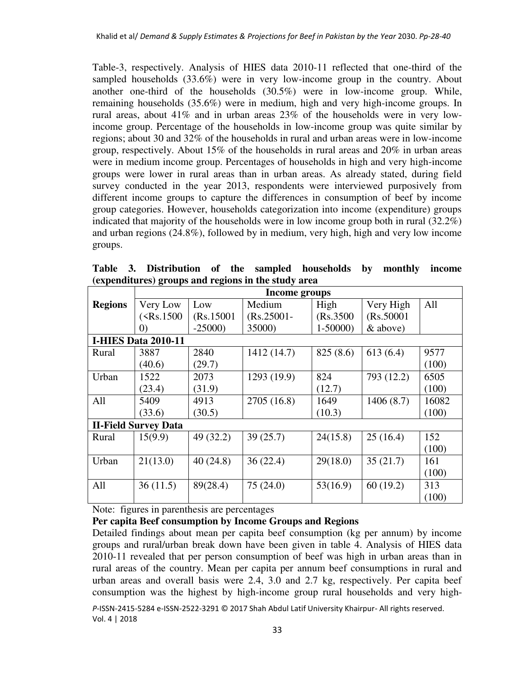Table-3, respectively. Analysis of HIES data 2010-11 reflected that one-third of the sampled households (33.6%) were in very low-income group in the country. About another one-third of the households (30.5%) were in low-income group. While, remaining households (35.6%) were in medium, high and very high-income groups. In rural areas, about 41% and in urban areas 23% of the households were in very lowincome group. Percentage of the households in low-income group was quite similar by regions; about 30 and 32% of the households in rural and urban areas were in low-income group, respectively. About 15% of the households in rural areas and 20% in urban areas were in medium income group. Percentages of households in high and very high-income groups were lower in rural areas than in urban areas. As already stated, during field survey conducted in the year 2013, respondents were interviewed purposively from different income groups to capture the differences in consumption of beef by income group categories. However, households categorization into income (expenditure) groups indicated that majority of the households were in low income group both in rural (32.2%) and urban regions (24.8%), followed by in medium, very high, high and very low income groups.

|                | Income groups               |            |               |           |            |       |  |  |
|----------------|-----------------------------|------------|---------------|-----------|------------|-------|--|--|
| <b>Regions</b> | Very Low                    | Low        | Medium        | High      | Very High  | All   |  |  |
|                | ( <b>Rs.1500</b> )          | (Rs.15001) | $(Rs.25001 -$ | (Rs.3500) | (Rs.50001) |       |  |  |
|                | $\Omega$                    | $-25000$   | 35000)        | $1-50000$ | $&$ above) |       |  |  |
|                | <b>I-HIES Data 2010-11</b>  |            |               |           |            |       |  |  |
| Rural          | 3887                        | 2840       | 1412 (14.7)   | 825(8.6)  | 613(6.4)   | 9577  |  |  |
|                | (40.6)                      | (29.7)     |               |           |            | (100) |  |  |
| Urban          | 1522                        | 2073       | 1293 (19.9)   | 824       | 793 (12.2) | 6505  |  |  |
|                | (23.4)                      | (31.9)     |               | (12.7)    |            | (100) |  |  |
| All            | 5409                        | 4913       | 2705 (16.8)   | 1649      | 1406(8.7)  | 16082 |  |  |
|                | (33.6)                      | (30.5)     |               | (10.3)    |            | (100) |  |  |
|                | <b>II-Field Survey Data</b> |            |               |           |            |       |  |  |
| Rural          | 15(9.9)                     | 49 (32.2)  | 39(25.7)      | 24(15.8)  | 25(16.4)   | 152   |  |  |
|                |                             |            |               |           |            | (100) |  |  |
| Urban          | 21(13.0)                    | 40(24.8)   | 36(22.4)      | 29(18.0)  | 35(21.7)   | 161   |  |  |
|                |                             |            |               |           |            | (100) |  |  |
| All            | 36(11.5)                    | 89(28.4)   | 75(24.0)      | 53(16.9)  | 60(19.2)   | 313   |  |  |
|                |                             |            |               |           |            | (100) |  |  |

**Table 3. Distribution of the sampled households by monthly income (expenditures) groups and regions in the study area** 

Note: figures in parenthesis are percentages

#### **Per capita Beef consumption by Income Groups and Regions**

Detailed findings about mean per capita beef consumption (kg per annum) by income groups and rural/urban break down have been given in table 4. Analysis of HIES data 2010-11 revealed that per person consumption of beef was high in urban areas than in rural areas of the country. Mean per capita per annum beef consumptions in rural and urban areas and overall basis were 2.4, 3.0 and 2.7 kg, respectively. Per capita beef consumption was the highest by high-income group rural households and very high-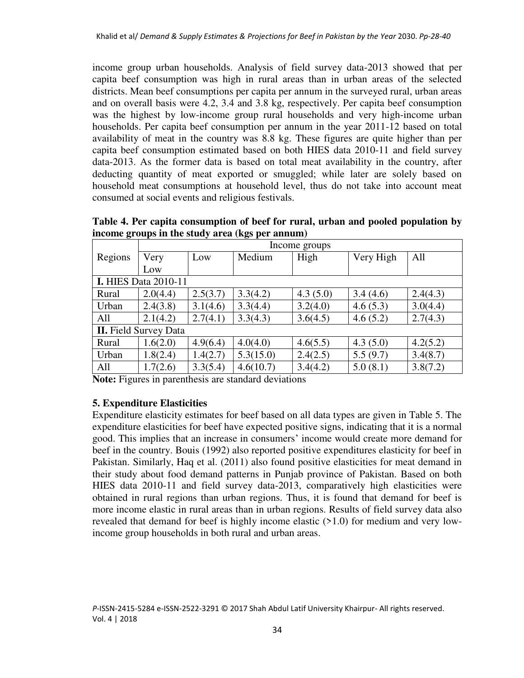income group urban households. Analysis of field survey data-2013 showed that per capita beef consumption was high in rural areas than in urban areas of the selected districts. Mean beef consumptions per capita per annum in the surveyed rural, urban areas and on overall basis were 4.2, 3.4 and 3.8 kg, respectively. Per capita beef consumption was the highest by low-income group rural households and very high-income urban households. Per capita beef consumption per annum in the year 2011-12 based on total availability of meat in the country was 8.8 kg. These figures are quite higher than per capita beef consumption estimated based on both HIES data 2010-11 and field survey data-2013. As the former data is based on total meat availability in the country, after deducting quantity of meat exported or smuggled; while later are solely based on household meat consumptions at household level, thus do not take into account meat consumed at social events and religious festivals.

**Table 4. Per capita consumption of beef for rural, urban and pooled population by income groups in the study area (kgs per annum)** 

|                              | Income groups               |          |           |          |           |          |  |  |
|------------------------------|-----------------------------|----------|-----------|----------|-----------|----------|--|--|
| Regions                      | Very                        | Low      | Medium    | High     | Very High | All      |  |  |
|                              | Low                         |          |           |          |           |          |  |  |
|                              | <b>I.</b> HIES Data 2010-11 |          |           |          |           |          |  |  |
| Rural                        | 2.0(4.4)                    | 2.5(3.7) | 3.3(4.2)  | 4.3(5.0) | 3.4(4.6)  | 2.4(4.3) |  |  |
| Urban                        | 2.4(3.8)                    | 3.1(4.6) | 3.3(4.4)  | 3.2(4.0) | 4.6(5.3)  | 3.0(4.4) |  |  |
| All                          | 2.1(4.2)                    | 2.7(4.1) | 3.3(4.3)  | 3.6(4.5) | 4.6(5.2)  | 2.7(4.3) |  |  |
| <b>II.</b> Field Survey Data |                             |          |           |          |           |          |  |  |
| Rural                        | 1.6(2.0)                    | 4.9(6.4) | 4.0(4.0)  | 4.6(5.5) | 4.3(5.0)  | 4.2(5.2) |  |  |
| Urban                        | 1.8(2.4)                    | 1.4(2.7) | 5.3(15.0) | 2.4(2.5) | 5.5(9.7)  | 3.4(8.7) |  |  |
| All                          | 1.7(2.6)                    | 3.3(5.4) | 4.6(10.7) | 3.4(4.2) | 5.0(8.1)  | 3.8(7.2) |  |  |

**Note:** Figures in parenthesis are standard deviations

# **5. Expenditure Elasticities**

Expenditure elasticity estimates for beef based on all data types are given in Table 5. The expenditure elasticities for beef have expected positive signs, indicating that it is a normal good. This implies that an increase in consumers' income would create more demand for beef in the country. Bouis (1992) also reported positive expenditures elasticity for beef in Pakistan. Similarly, Haq et al. (2011) also found positive elasticities for meat demand in their study about food demand patterns in Punjab province of Pakistan. Based on both HIES data 2010-11 and field survey data-2013, comparatively high elasticities were obtained in rural regions than urban regions. Thus, it is found that demand for beef is more income elastic in rural areas than in urban regions. Results of field survey data also revealed that demand for beef is highly income elastic (>1.0) for medium and very lowincome group households in both rural and urban areas.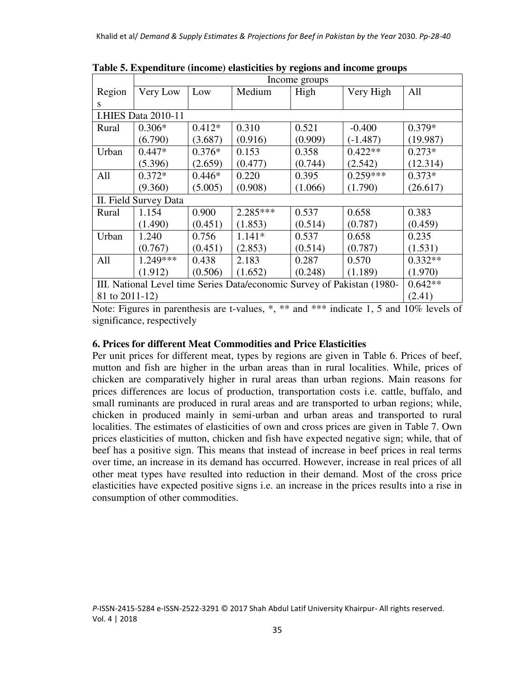|                                                                         | Income groups              |          |          |         |            |           |  |  |
|-------------------------------------------------------------------------|----------------------------|----------|----------|---------|------------|-----------|--|--|
| Region                                                                  | Very Low                   | Low      | Medium   | High    | Very High  | All       |  |  |
| S                                                                       |                            |          |          |         |            |           |  |  |
|                                                                         | <b>I.HIES Data 2010-11</b> |          |          |         |            |           |  |  |
| Rural                                                                   | $0.306*$                   | $0.412*$ | 0.310    | 0.521   | $-0.400$   | $0.379*$  |  |  |
|                                                                         | (6.790)                    | (3.687)  | (0.916)  | (0.909) | $(-1.487)$ | (19.987)  |  |  |
| Urban                                                                   | $0.447*$                   | $0.376*$ | 0.153    | 0.358   | $0.422**$  | $0.273*$  |  |  |
|                                                                         | (5.396)                    | (2.659)  | (0.477)  | (0.744) | (2.542)    | (12.314)  |  |  |
| All                                                                     | $0.372*$                   | $0.446*$ | 0.220    | 0.395   | $0.259***$ | $0.373*$  |  |  |
|                                                                         | (9.360)                    | (5.005)  | (0.908)  | (1.066) | (1.790)    | (26.617)  |  |  |
|                                                                         | II. Field Survey Data      |          |          |         |            |           |  |  |
| Rural                                                                   | 1.154                      | 0.900    | 2.285*** | 0.537   | 0.658      | 0.383     |  |  |
|                                                                         | (1.490)                    | (0.451)  | (1.853)  | (0.514) | (0.787)    | (0.459)   |  |  |
| Urban                                                                   | 1.240                      | 0.756    | $1.141*$ | 0.537   | 0.658      | 0.235     |  |  |
|                                                                         | (0.767)                    | (0.451)  | (2.853)  | (0.514) | (0.787)    | (1.531)   |  |  |
| All                                                                     | $1.249***$                 | 0.438    | 2.183    | 0.287   | 0.570      | $0.332**$ |  |  |
|                                                                         | (1.912)                    | (0.506)  | (1.652)  | (0.248) | (1.189)    | (1.970)   |  |  |
| III. National Level time Series Data/economic Survey of Pakistan (1980- | $0.642**$                  |          |          |         |            |           |  |  |
| 81 to 2011-12)                                                          |                            |          |          |         |            | (2.41)    |  |  |

**Table 5. Expenditure (income) elasticities by regions and income groups** 

Note: Figures in parenthesis are t-values, \*, \*\* and \*\*\* indicate 1, 5 and 10% levels of significance, respectively

### **6. Prices for different Meat Commodities and Price Elasticities**

Per unit prices for different meat, types by regions are given in Table 6. Prices of beef, mutton and fish are higher in the urban areas than in rural localities. While, prices of chicken are comparatively higher in rural areas than urban regions. Main reasons for prices differences are locus of production, transportation costs i.e. cattle, buffalo, and small ruminants are produced in rural areas and are transported to urban regions; while, chicken in produced mainly in semi-urban and urban areas and transported to rural localities. The estimates of elasticities of own and cross prices are given in Table 7. Own prices elasticities of mutton, chicken and fish have expected negative sign; while, that of beef has a positive sign. This means that instead of increase in beef prices in real terms over time, an increase in its demand has occurred. However, increase in real prices of all other meat types have resulted into reduction in their demand. Most of the cross price elasticities have expected positive signs i.e. an increase in the prices results into a rise in consumption of other commodities.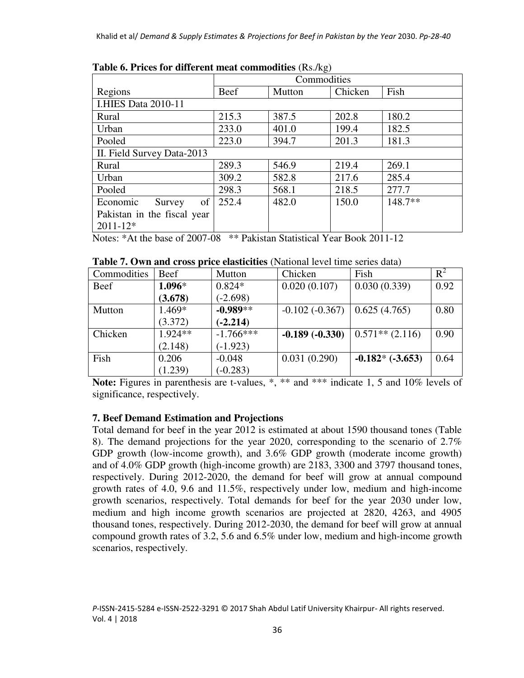|                             | $\frac{1}{2}$ of 1 hold for three can meat commodities $(1.67 \text{ m})$<br>Commodities |        |         |           |  |  |
|-----------------------------|------------------------------------------------------------------------------------------|--------|---------|-----------|--|--|
| Regions                     | <b>Beef</b>                                                                              | Mutton | Chicken | Fish      |  |  |
| I.HIES Data 2010-11         |                                                                                          |        |         |           |  |  |
| Rural                       | 215.3                                                                                    | 387.5  | 202.8   | 180.2     |  |  |
| Urban                       | 233.0                                                                                    | 401.0  | 199.4   | 182.5     |  |  |
| Pooled                      | 223.0                                                                                    | 394.7  | 201.3   | 181.3     |  |  |
| II. Field Survey Data-2013  |                                                                                          |        |         |           |  |  |
| Rural                       | 289.3                                                                                    | 546.9  | 219.4   | 269.1     |  |  |
| Urban                       | 309.2                                                                                    | 582.8  | 217.6   | 285.4     |  |  |
| Pooled                      | 298.3                                                                                    | 568.1  | 218.5   | 277.7     |  |  |
| Economic<br>of<br>Survey    | 252.4                                                                                    | 482.0  | 150.0   | $148.7**$ |  |  |
| Pakistan in the fiscal year |                                                                                          |        |         |           |  |  |
| $2011 - 12*$                |                                                                                          |        |         |           |  |  |

**Table 6. Prices for different meat commodities** (Rs./kg)

Notes: \*At the base of 2007-08 \*\* Pakistan Statistical Year Book 2011-12

| Table 7. Own and cross price elasticities (National level time series data) |  |  |  |  |
|-----------------------------------------------------------------------------|--|--|--|--|
|-----------------------------------------------------------------------------|--|--|--|--|

| Commodities | Beef      | Mutton      | Chicken          | Fish                 | $R^2$ |
|-------------|-----------|-------------|------------------|----------------------|-------|
| Beef        | $1.096*$  | $0.824*$    | 0.020(0.107)     | 0.030(0.339)         | 0.92  |
|             | (3.678)   | $(-2.698)$  |                  |                      |       |
| Mutton      | 1.469*    | $-0.989**$  | $-0.102(-0.367)$ | $\mid$ 0.625 (4.765) | 0.80  |
|             | (3.372)   | $(-2.214)$  |                  |                      |       |
| Chicken     | $1.924**$ | $-1.766***$ | $-0.189(-0.330)$ | $0.571**$ (2.116)    | 0.90  |
|             | (2.148)   | $(-1.923)$  |                  |                      |       |
| Fish        | 0.206     | $-0.048$    | 0.031(0.290)     | $-0.182*$ $(-3.653)$ | 0.64  |
|             | (1.239)   | $(-0.283)$  |                  |                      |       |

**Note:** Figures in parenthesis are t-values, \*, \*\* and \*\*\* indicate 1, 5 and 10% levels of significance, respectively.

# **7. Beef Demand Estimation and Projections**

Total demand for beef in the year 2012 is estimated at about 1590 thousand tones (Table 8). The demand projections for the year 2020, corresponding to the scenario of 2.7% GDP growth (low-income growth), and 3.6% GDP growth (moderate income growth) and of 4.0% GDP growth (high-income growth) are 2183, 3300 and 3797 thousand tones, respectively. During 2012-2020, the demand for beef will grow at annual compound growth rates of 4.0, 9.6 and 11.5%, respectively under low, medium and high-income growth scenarios, respectively. Total demands for beef for the year 2030 under low, medium and high income growth scenarios are projected at 2820, 4263, and 4905 thousand tones, respectively. During 2012-2030, the demand for beef will grow at annual compound growth rates of 3.2, 5.6 and 6.5% under low, medium and high-income growth scenarios, respectively.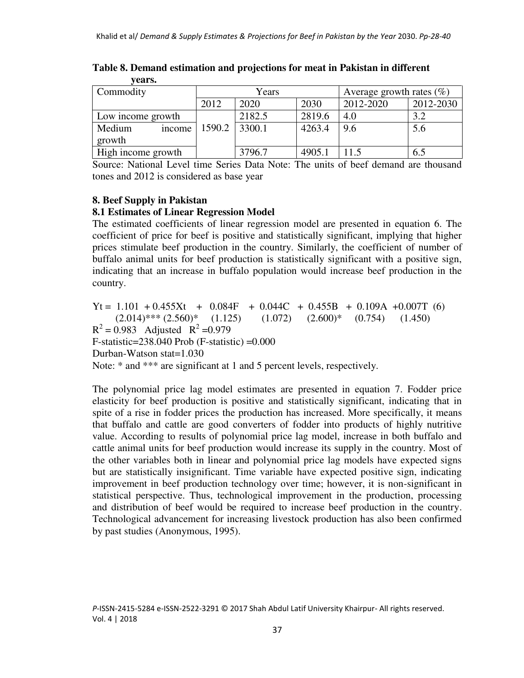| Commodity          | Years  |        |        | Average growth rates $(\% )$ |           |  |
|--------------------|--------|--------|--------|------------------------------|-----------|--|
|                    | 2012   | 2020   | 2030   | 2012-2020                    | 2012-2030 |  |
| Low income growth  |        | 2182.5 | 2819.6 | 4.0                          | 3.2       |  |
| Medium<br>income   | 1590.2 | 3300.1 | 4263.4 | 9.6                          | 5.6       |  |
| growth             |        |        |        |                              |           |  |
| High income growth |        | 3796.7 | 4905.1 | 11.5                         | 6.5       |  |

**Table 8. Demand estimation and projections for meat in Pakistan in different years.** 

Source: National Level time Series Data Note: The units of beef demand are thousand tones and 2012 is considered as base year

# **8. Beef Supply in Pakistan**

### **8.1 Estimates of Linear Regression Model**

The estimated coefficients of linear regression model are presented in equation 6. The coefficient of price for beef is positive and statistically significant, implying that higher prices stimulate beef production in the country. Similarly, the coefficient of number of buffalo animal units for beef production is statistically significant with a positive sign, indicating that an increase in buffalo population would increase beef production in the country.

 $Yt = 1.101 + 0.455Xt + 0.084F + 0.044C + 0.455B + 0.109A + 0.007T$  (6)  $(2.014)$ <sup>\*\*\*</sup> $(2.560)$ <sup>\*</sup>  $(1.125)$   $(1.072)$   $(2.600)$ <sup>\*</sup>  $(0.754)$   $(1.450)$  $R^2 = 0.983$  Adjusted  $R^2 = 0.979$ F-statistic=238.040 Prob (F-statistic) =0.000 Durban-Watson stat=1.030 Note:  $*$  and  $***$  are significant at 1 and 5 percent levels, respectively.

The polynomial price lag model estimates are presented in equation 7. Fodder price elasticity for beef production is positive and statistically significant, indicating that in spite of a rise in fodder prices the production has increased. More specifically, it means that buffalo and cattle are good converters of fodder into products of highly nutritive value. According to results of polynomial price lag model, increase in both buffalo and cattle animal units for beef production would increase its supply in the country. Most of the other variables both in linear and polynomial price lag models have expected signs but are statistically insignificant. Time variable have expected positive sign, indicating improvement in beef production technology over time; however, it is non-significant in statistical perspective. Thus, technological improvement in the production, processing and distribution of beef would be required to increase beef production in the country. Technological advancement for increasing livestock production has also been confirmed by past studies (Anonymous, 1995).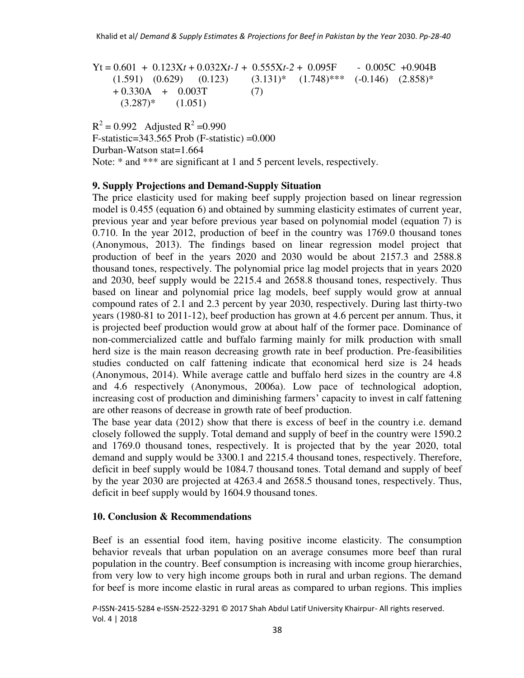$Yt = 0.601 + 0.123Xt + 0.032Xt - 1 + 0.555Xt - 2 + 0.095F - 0.005C + 0.904B$  $(1.591)$   $(0.629)$   $(0.123)$   $(3.131)^*$   $(1.748)^{***}$   $(-0.146)$   $(2.858)^*$  $+ 0.330A + 0.003T$  (7)  $(3.287)^*$   $(1.051)$ 

 $R^2 = 0.992$  Adjusted  $R^2 = 0.990$  $F-statistic=343.565$  Prob ( $F-statistic$ ) =0.000 Durban-Watson stat=1.664 Note:  $*$  and  $***$  are significant at 1 and 5 percent levels, respectively.

### **9. Supply Projections and Demand-Supply Situation**

The price elasticity used for making beef supply projection based on linear regression model is 0.455 (equation 6) and obtained by summing elasticity estimates of current year, previous year and year before previous year based on polynomial model (equation 7) is 0.710. In the year 2012, production of beef in the country was 1769.0 thousand tones (Anonymous, 2013). The findings based on linear regression model project that production of beef in the years 2020 and 2030 would be about 2157.3 and 2588.8 thousand tones, respectively. The polynomial price lag model projects that in years 2020 and 2030, beef supply would be 2215.4 and 2658.8 thousand tones, respectively. Thus based on linear and polynomial price lag models, beef supply would grow at annual compound rates of 2.1 and 2.3 percent by year 2030, respectively. During last thirty-two years (1980-81 to 2011-12), beef production has grown at 4.6 percent per annum. Thus, it is projected beef production would grow at about half of the former pace. Dominance of non-commercialized cattle and buffalo farming mainly for milk production with small herd size is the main reason decreasing growth rate in beef production. Pre-feasibilities studies conducted on calf fattening indicate that economical herd size is 24 heads (Anonymous, 2014). While average cattle and buffalo herd sizes in the country are 4.8 and 4.6 respectively (Anonymous, 2006a). Low pace of technological adoption, increasing cost of production and diminishing farmers' capacity to invest in calf fattening are other reasons of decrease in growth rate of beef production.

The base year data (2012) show that there is excess of beef in the country i.e. demand closely followed the supply. Total demand and supply of beef in the country were 1590.2 and 1769.0 thousand tones, respectively. It is projected that by the year 2020, total demand and supply would be 3300.1 and 2215.4 thousand tones, respectively. Therefore, deficit in beef supply would be 1084.7 thousand tones. Total demand and supply of beef by the year 2030 are projected at 4263.4 and 2658.5 thousand tones, respectively. Thus, deficit in beef supply would by 1604.9 thousand tones.

### **10. Conclusion & Recommendations**

Beef is an essential food item, having positive income elasticity. The consumption behavior reveals that urban population on an average consumes more beef than rural population in the country. Beef consumption is increasing with income group hierarchies, from very low to very high income groups both in rural and urban regions. The demand for beef is more income elastic in rural areas as compared to urban regions. This implies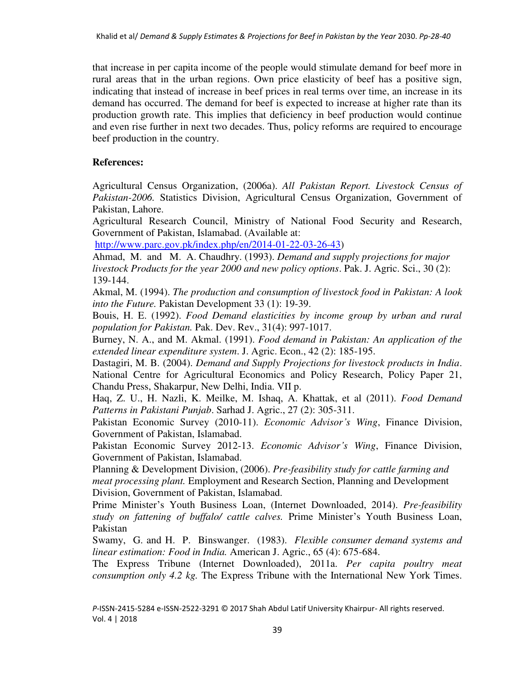that increase in per capita income of the people would stimulate demand for beef more in rural areas that in the urban regions. Own price elasticity of beef has a positive sign, indicating that instead of increase in beef prices in real terms over time, an increase in its demand has occurred. The demand for beef is expected to increase at higher rate than its production growth rate. This implies that deficiency in beef production would continue and even rise further in next two decades. Thus, policy reforms are required to encourage beef production in the country.

### **References:**

Agricultural Census Organization, (2006a). *All Pakistan Report. Livestock Census of Pakistan-2006.* Statistics Division, Agricultural Census Organization, Government of Pakistan, Lahore.

Agricultural Research Council, Ministry of National Food Security and Research, Government of Pakistan, Islamabad. (Available at:

[http://www.parc.gov.pk/index.php/en/2014-01-22-03-26-43\)](http://www.parc.gov.pk/index.php/en/2014-01-22-03-26-43)

Ahmad, M. and M. A. Chaudhry. (1993). *Demand and supply projections for major livestock Products for the year 2000 and new policy options*. Pak. J. Agric. Sci., 30 (2): 139-144.

Akmal, M. (1994). *The production and consumption of livestock food in Pakistan: A look into the Future.* Pakistan Development 33 (1): 19-39.

Bouis, H. E. (1992). *Food Demand elasticities by income group by urban and rural population for Pakistan.* Pak. Dev. Rev., 31(4): 997-1017.

Burney, N. A., and M. Akmal. (1991). *Food demand in Pakistan: An application of the extended linear expenditure system*. J. Agric. Econ., 42 (2): 185-195.

Dastagiri, M. B. (2004). *Demand and Supply Projections for livestock products in India*. National Centre for Agricultural Economics and Policy Research, Policy Paper 21, Chandu Press, Shakarpur, New Delhi, India. VII p.

Haq, Z. U., H. Nazli, K. Meilke, M. Ishaq, A. Khattak, et al (2011). *Food Demand Patterns in Pakistani Punjab*. Sarhad J. Agric., 27 (2): 305-311.

Pakistan Economic Survey (2010-11). *Economic Advisor's Wing*, Finance Division, Government of Pakistan, Islamabad.

Pakistan Economic Survey 2012-13. *Economic Advisor's Wing*, Finance Division, Government of Pakistan, Islamabad.

Planning & Development Division, (2006). *Pre-feasibility study for cattle farming and meat processing plant.* Employment and Research Section, Planning and Development Division, Government of Pakistan, Islamabad.

Prime Minister's Youth Business Loan, (Internet Downloaded, 2014). *Pre-feasibility study on fattening of buffalo/ cattle calves.* Prime Minister's Youth Business Loan, Pakistan

Swamy, G. and H. P. Binswanger. (1983). *Flexible consumer demand systems and linear estimation: Food in India.* American J. Agric., 65 (4): 675-684.

The Express Tribune (Internet Downloaded), 2011a. *Per capita poultry meat consumption only 4.2 kg.* The Express Tribune with the International New York Times.